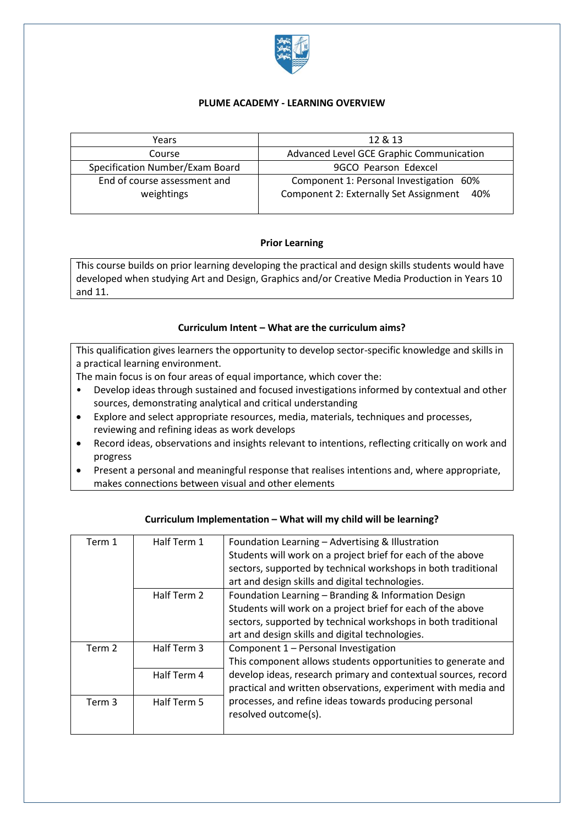

### **PLUME ACADEMY - LEARNING OVERVIEW**

| Years                           | 12 & 13                                       |
|---------------------------------|-----------------------------------------------|
| Course                          | Advanced Level GCE Graphic Communication      |
| Specification Number/Exam Board | 9GCO Pearson Edexcel                          |
| End of course assessment and    | Component 1: Personal Investigation 60%       |
| weightings                      | Component 2: Externally Set Assignment<br>40% |
|                                 |                                               |

#### **Prior Learning**

This course builds on prior learning developing the practical and design skills students would have developed when studying Art and Design, Graphics and/or Creative Media Production in Years 10 and 11.

## **Curriculum Intent – What are the curriculum aims?**

This qualification gives learners the opportunity to develop sector-specific knowledge and skills in a practical learning environment.

The main focus is on four areas of equal importance, which cover the:

- Develop ideas through sustained and focused investigations informed by contextual and other sources, demonstrating analytical and critical understanding
- Explore and select appropriate resources, media, materials, techniques and processes, reviewing and refining ideas as work develops
- Record ideas, observations and insights relevant to intentions, reflecting critically on work and progress
- Present a personal and meaningful response that realises intentions and, where appropriate, makes connections between visual and other elements

| Term 1 | Half Term 1 | Foundation Learning - Advertising & Illustration               |
|--------|-------------|----------------------------------------------------------------|
|        |             | Students will work on a project brief for each of the above    |
|        |             | sectors, supported by technical workshops in both traditional  |
|        |             | art and design skills and digital technologies.                |
|        | Half Term 2 | Foundation Learning - Branding & Information Design            |
|        |             | Students will work on a project brief for each of the above    |
|        |             | sectors, supported by technical workshops in both traditional  |
|        |             | art and design skills and digital technologies.                |
| Term 2 | Half Term 3 | Component 1 - Personal Investigation                           |
|        |             | This component allows students opportunities to generate and   |
|        | Half Term 4 | develop ideas, research primary and contextual sources, record |
|        |             | practical and written observations, experiment with media and  |
| Term 3 | Half Term 5 | processes, and refine ideas towards producing personal         |
|        |             | resolved outcome(s).                                           |
|        |             |                                                                |

#### **Curriculum Implementation – What will my child will be learning?**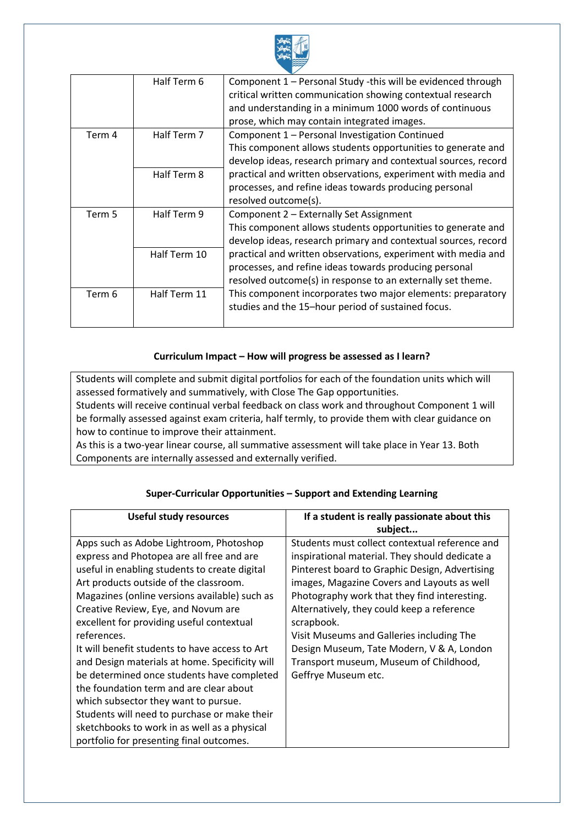

|        | Half Term 6  | Component 1 - Personal Study -this will be evidenced through   |
|--------|--------------|----------------------------------------------------------------|
|        |              | critical written communication showing contextual research     |
|        |              | and understanding in a minimum 1000 words of continuous        |
|        |              | prose, which may contain integrated images.                    |
| Term 4 | Half Term 7  | Component 1 - Personal Investigation Continued                 |
|        |              | This component allows students opportunities to generate and   |
|        |              | develop ideas, research primary and contextual sources, record |
|        | Half Term 8  | practical and written observations, experiment with media and  |
|        |              | processes, and refine ideas towards producing personal         |
|        |              | resolved outcome(s).                                           |
| Term 5 | Half Term 9  | Component 2 - Externally Set Assignment                        |
|        |              | This component allows students opportunities to generate and   |
|        |              | develop ideas, research primary and contextual sources, record |
|        | Half Term 10 | practical and written observations, experiment with media and  |
|        |              | processes, and refine ideas towards producing personal         |
|        |              | resolved outcome(s) in response to an externally set theme.    |
| Term 6 | Half Term 11 | This component incorporates two major elements: preparatory    |
|        |              | studies and the 15-hour period of sustained focus.             |
|        |              |                                                                |

## **Curriculum Impact – How will progress be assessed as I learn?**

Students will complete and submit digital portfolios for each of the foundation units which will assessed formatively and summatively, with Close The Gap opportunities. Students will receive continual verbal feedback on class work and throughout Component 1 will be formally assessed against exam criteria, half termly, to provide them with clear guidance on how to continue to improve their attainment.

As this is a two-year linear course, all summative assessment will take place in Year 13. Both Components are internally assessed and externally verified.

| <b>Useful study resources</b>                                                                                                                                                                                                                                                                                                                                                                                                                                                                                                                                                                                                                                                                                        | If a student is really passionate about this<br>subject                                                                                                                                                                                                                                                                                                                                                                                                                  |
|----------------------------------------------------------------------------------------------------------------------------------------------------------------------------------------------------------------------------------------------------------------------------------------------------------------------------------------------------------------------------------------------------------------------------------------------------------------------------------------------------------------------------------------------------------------------------------------------------------------------------------------------------------------------------------------------------------------------|--------------------------------------------------------------------------------------------------------------------------------------------------------------------------------------------------------------------------------------------------------------------------------------------------------------------------------------------------------------------------------------------------------------------------------------------------------------------------|
| Apps such as Adobe Lightroom, Photoshop<br>express and Photopea are all free and are<br>useful in enabling students to create digital<br>Art products outside of the classroom.<br>Magazines (online versions available) such as<br>Creative Review, Eye, and Novum are<br>excellent for providing useful contextual<br>references.<br>It will benefit students to have access to Art<br>and Design materials at home. Specificity will<br>be determined once students have completed<br>the foundation term and are clear about<br>which subsector they want to pursue.<br>Students will need to purchase or make their<br>sketchbooks to work in as well as a physical<br>portfolio for presenting final outcomes. | Students must collect contextual reference and<br>inspirational material. They should dedicate a<br>Pinterest board to Graphic Design, Advertising<br>images, Magazine Covers and Layouts as well<br>Photography work that they find interesting.<br>Alternatively, they could keep a reference<br>scrapbook.<br>Visit Museums and Galleries including The<br>Design Museum, Tate Modern, V & A, London<br>Transport museum, Museum of Childhood,<br>Geffrye Museum etc. |

## **Super-Curricular Opportunities – Support and Extending Learning**